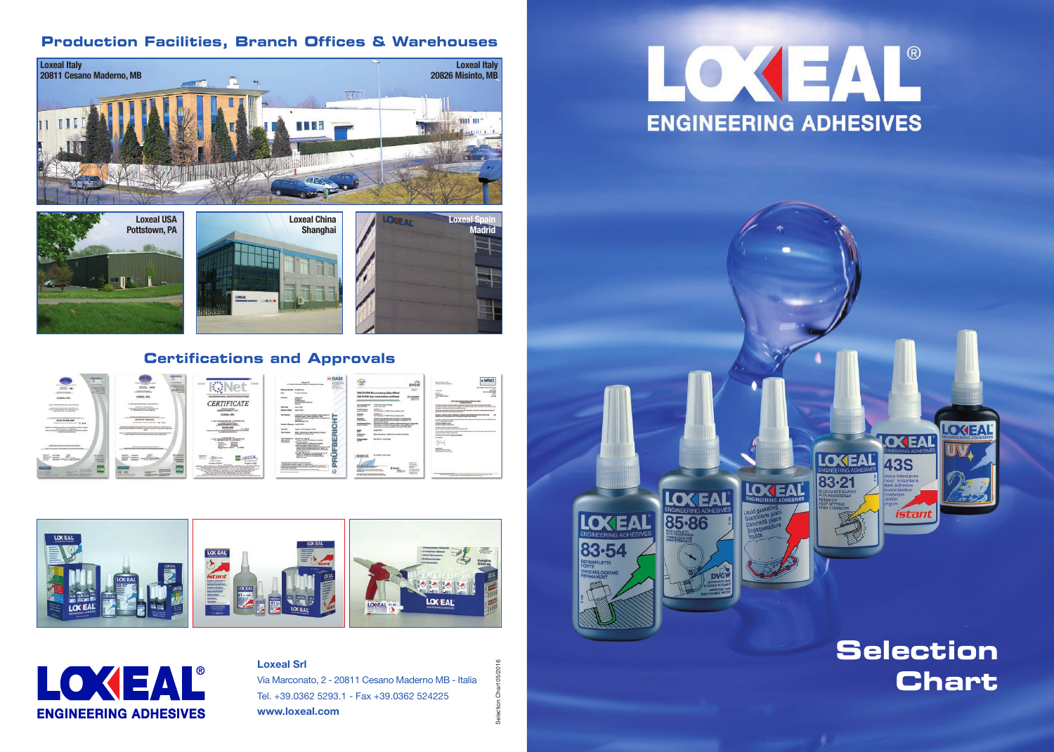## **Selection Chart**

## **Production Facilities, Branch Offices & Warehouses**

## **Certifications and Approvals**





















## **Loxeal Srl**

Via Marconato, 2 - 20811 Cesano Maderno MB - Italia Tel. +39.0362 5293.1 - Fax +39.0362 524225 **www.loxeal.com**